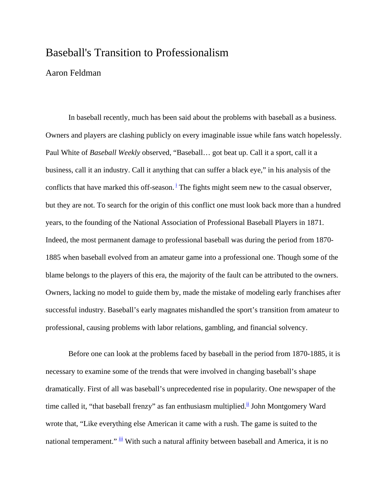## Baseball's Transition to Professionalism

## Aaron Feldman

In baseball recently, much has been said about the problems with baseball as a business. Owners and players are clashing publicly on every imaginable issue while fans watch hopelessly. Paul White of *Baseball Weekly* observed, "Baseball… got beat up. Call it a sport, call it a business, call it an industry. Call it anything that can suffer a black eye," in his analysis of the conflicts that have marked this off-season.<sup> $\frac{i}{i}$ </sup> The fights might seem new to the casual observer, but they are not. To search for the origin of this conflict one must look back more than a hundred years, to the founding of the National Association of Professional Baseball Players in 1871. Indeed, the most permanent damage to professional baseball was during the period from 1870- 1885 when baseball evolved from an amateur game into a professional one. Though some of the blame belongs to the players of this era, the majority of the fault can be attributed to the owners. Owners, lacking no model to guide them by, made the mistake of modeling early franchises after successful industry. Baseball's early magnates mishandled the sport's transition from amateur to professional, causing problems with labor relations, gambling, and financial solvency.

 Before one can look at the problems faced by baseball in the period from 1870-1885, it is necessary to examine some of the trends that were involved in changing baseball's shape dramatically. First of all was baseball's unprecedented rise in popularity. One newspaper of the time called it, "that baseball frenzy" as fan enthusiasm multiplied.<sup>ii</sup> John Montgomery Ward wrote that, "Like everything else American it came with a rush. The game is suited to the national temperament."  $\frac{iii}{2}$  With such a natural affinity between baseball and America, it is no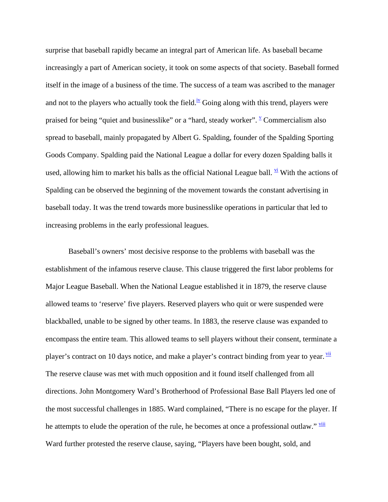surprise that baseball rapidly became an integral part of American life. As baseball became increasingly a part of American society, it took on some aspects of that society. Baseball formed itself in the image of a business of the time. The success of a team was ascribed to the manager and not to the players who actually took the field.<sup>iv</sup> Going along with this trend, players were praised for being "quiet and businesslike" or a "hard, steady worker".  $\frac{v}{x}$  Commercialism also spread to baseball, mainly propagated by Albert G. Spalding, founder of the Spalding Sporting Goods Company. Spalding paid the National League a dollar for every dozen Spalding balls it used, allowing him to market his balls as the official National League ball.  $\frac{vi}{l}$  With the actions of Spalding can be observed the beginning of the movement towards the constant advertising in baseball today. It was the trend towards more businesslike operations in particular that led to increasing problems in the early professional leagues.

Baseball's owners' most decisive response to the problems with baseball was the establishment of the infamous reserve clause. This clause triggered the first labor problems for Major League Baseball. When the National League established it in 1879, the reserve clause allowed teams to 'reserve' five players. Reserved players who quit or were suspended were blackballed, unable to be signed by other teams. In 1883, the reserve clause was expanded to encompass the entire team. This allowed teams to sell players without their consent, terminate a player's contract on 10 days notice, and make a player's contract binding from year to year.  $\frac{v_{ii}}{v_{ii}}$ The reserve clause was met with much opposition and it found itself challenged from all directions. John Montgomery Ward's Brotherhood of Professional Base Ball Players led one of the most successful challenges in 1885. Ward complained, "There is no escape for the player. If he attempts to elude the operation of the rule, he becomes at once a professional outlaw." viii Ward further protested the reserve clause, saying, "Players have been bought, sold, and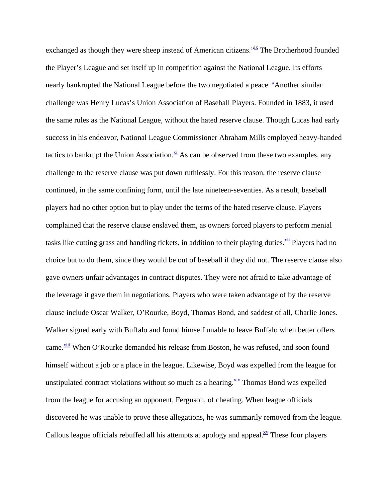exchanged as though they were sheep instead of American citizens.<sup>"ix</sup> The Brotherhood founded the Player's League and set itself up in competition against the National League. Its efforts nearly bankrupted the National League before the two negotiated a peace. <sup>X</sup>Another similar challenge was Henry Lucas's Union Association of Baseball Players. Founded in 1883, it used the same rules as the National League, without the hated reserve clause. Though Lucas had early success in his endeavor, National League Commissioner Abraham Mills employed heavy-handed tactics to bankrupt the Union Association. $\frac{x_i}{x_i}$  As can be observed from these two examples, any challenge to the reserve clause was put down ruthlessly. For this reason, the reserve clause continued, in the same confining form, until the late nineteen-seventies. As a result, baseball players had no other option but to play under the terms of the hated reserve clause. Players complained that the reserve clause enslaved them, as owners forced players to perform menial tasks like cutting grass and handling tickets, in addition to their playing duties. $\frac{x}{n}$  Players had no choice but to do them, since they would be out of baseball if they did not. The reserve clause also gave owners unfair advantages in contract disputes. They were not afraid to take advantage of the leverage it gave them in negotiations. Players who were taken advantage of by the reserve clause include Oscar Walker, O'Rourke, Boyd, Thomas Bond, and saddest of all, Charlie Jones. Walker signed early with Buffalo and found himself unable to leave Buffalo when better offers came. Xiii When O'Rourke demanded his release from Boston, he was refused, and soon found himself without a job or a place in the league. Likewise, Boyd was expelled from the league for unstipulated contract violations without so much as a hearing. $\frac{x^2}{x^2}$  Thomas Bond was expelled from the league for accusing an opponent, Ferguson, of cheating. When league officials discovered he was unable to prove these allegations, he was summarily removed from the league. Callous league officials rebuffed all his attempts at apology and appeal. $\frac{xy}{x}$  These four players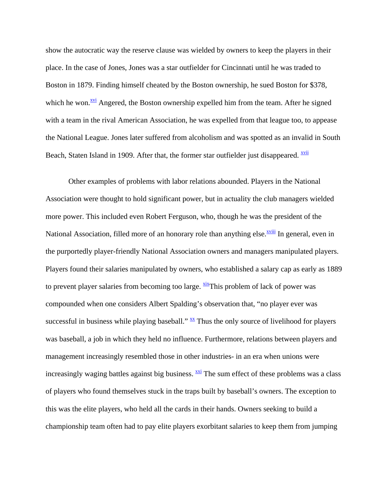show the autocratic way the reserve clause was wielded by owners to keep the players in their place. In the case of Jones, Jones was a star outfielder for Cincinnati until he was traded to Boston in 1879. Finding himself cheated by the Boston ownership, he sued Boston for \$378, which he won.<sup>xvi</sup> Angered, the Boston ownership expelled him from the team. After he signed with a team in the rival American Association, he was expelled from that league too, to appease the National League. Jones later suffered from alcoholism and was spotted as an invalid in South Beach, Staten Island in 1909. After that, the former star outfielder just disappeared.  $\frac{xyii}{x}$ 

 Other examples of problems with labor relations abounded. Players in the National Association were thought to hold significant power, but in actuality the club managers wielded more power. This included even Robert Ferguson, who, though he was the president of the National Association, filled more of an honorary role than anything else.<sup>xviii</sup> In general, even in the purportedly player-friendly National Association owners and managers manipulated players. Players found their salaries manipulated by owners, who established a salary cap as early as 1889 to prevent player salaries from becoming too large.  $\frac{X}{X}$ This problem of lack of power was compounded when one considers Albert Spalding's observation that, "no player ever was successful in business while playing baseball."  $\frac{XX}{X}$  Thus the only source of livelihood for players was baseball, a job in which they held no influence. Furthermore, relations between players and management increasingly resembled those in other industries- in an era when unions were increasingly waging battles against big business.  $\frac{xxi}{x}$  The sum effect of these problems was a class of players who found themselves stuck in the traps built by baseball's owners. The exception to this was the elite players, who held all the cards in their hands. Owners seeking to build a championship team often had to pay elite players exorbitant salaries to keep them from jumping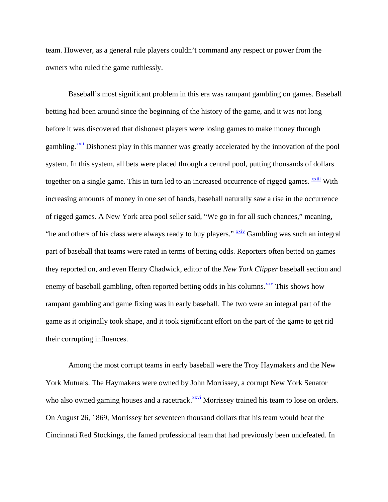team. However, as a general rule players couldn't command any respect or power from the owners who ruled the game ruthlessly.

 Baseball's most significant problem in this era was rampant gambling on games. Baseball betting had been around since the beginning of the history of the game, and it was not long before it was discovered that dishonest players were losing games to make money through gambling.<sup><u>xxii</u> Dishonest play in this manner was greatly accelerated by the innovation of the pool</sup> system. In this system, all bets were placed through a central pool, putting thousands of dollars together on a single game. This in turn led to an increased occurrence of rigged games.  $\frac{xxiii}{x}$  With increasing amounts of money in one set of hands, baseball naturally saw a rise in the occurrence of rigged games. A New York area pool seller said, "We go in for all such chances," meaning, "he and others of his class were always ready to buy players."  $\frac{xxiv}{}$  Gambling was such an integral part of baseball that teams were rated in terms of betting odds. Reporters often betted on games they reported on, and even Henry Chadwick, editor of the *New York Clipper* baseball section and enemy of baseball gambling, often reported betting odds in his columns. $\frac{xxv}{}$  This shows how rampant gambling and game fixing was in early baseball. The two were an integral part of the game as it originally took shape, and it took significant effort on the part of the game to get rid their corrupting influences.

 Among the most corrupt teams in early baseball were the Troy Haymakers and the New York Mutuals. The Haymakers were owned by John Morrissey, a corrupt New York Senator who also owned gaming houses and a racetrack.<sup>XXVI</sup> Morrissey trained his team to lose on orders. On August 26, 1869, Morrissey bet seventeen thousand dollars that his team would beat the Cincinnati Red Stockings, the famed professional team that had previously been undefeated. In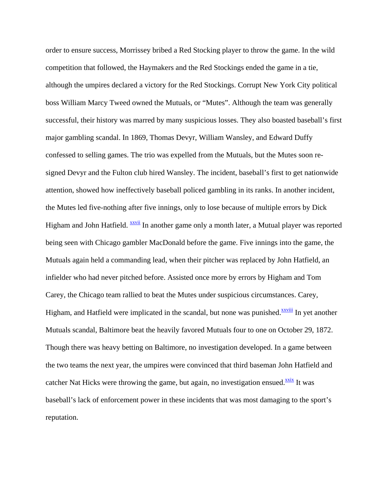order to ensure success, Morrissey bribed a Red Stocking player to throw the game. In the wild competition that followed, the Haymakers and the Red Stockings ended the game in a tie, although the umpires declared a victory for the Red Stockings. Corrupt New York City political boss William Marcy Tweed owned the Mutuals, or "Mutes". Although the team was generally successful, their history was marred by many suspicious losses. They also boasted baseball's first major gambling scandal. In 1869, Thomas Devyr, William Wansley, and Edward Duffy confessed to selling games. The trio was expelled from the Mutuals, but the Mutes soon resigned Devyr and the Fulton club hired Wansley. The incident, baseball's first to get nationwide attention, showed how ineffectively baseball policed gambling in its ranks. In another incident, the Mutes led five-nothing after five innings, only to lose because of multiple errors by Dick Higham and John Hatfield. **XXVII** In another game only a month later, a Mutual player was reported being seen with Chicago gambler MacDonald before the game. Five innings into the game, the Mutuals again held a commanding lead, when their pitcher was replaced by John Hatfield, an infielder who had never pitched before. Assisted once more by errors by Higham and Tom Carey, the Chicago team rallied to beat the Mutes under suspicious circumstances. Carey, Higham, and Hatfield were implicated in the scandal, but none was punished.<sup>xxviii</sup> In yet another Mutuals scandal, Baltimore beat the heavily favored Mutuals four to one on October 29, 1872. Though there was heavy betting on Baltimore, no investigation developed. In a game between the two teams the next year, the umpires were convinced that third baseman John Hatfield and catcher Nat Hicks were throwing the game, but again, no investigation ensued. $\frac{xxix}{}$  It was baseball's lack of enforcement power in these incidents that was most damaging to the sport's reputation.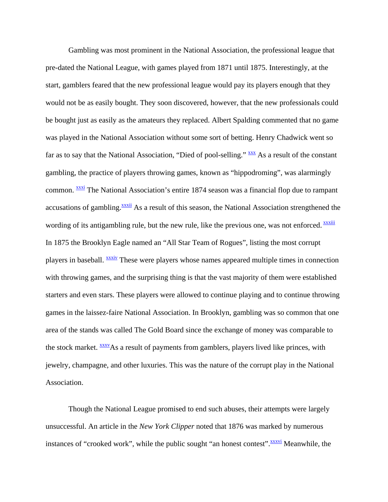Gambling was most prominent in the National Association, the professional league that pre-dated the National League, with games played from 1871 until 1875. Interestingly, at the start, gamblers feared that the new professional league would pay its players enough that they would not be as easily bought. They soon discovered, however, that the new professionals could be bought just as easily as the amateurs they replaced. Albert Spalding commented that no game was played in the National Association without some sort of betting. Henry Chadwick went so far as to say that the National Association, "Died of pool-selling."  $\frac{XXX}{XX}$  As a result of the constant gambling, the practice of players throwing games, known as "hippodroming", was alarmingly common. **XXXI** The National Association's entire 1874 season was a financial flop due to rampant accusations of gambling.<sup>xxxii</sup> As a result of this season, the National Association strengthened the wording of its antigambling rule, but the new rule, like the previous one, was not enforced. **xxxiii** In 1875 the Brooklyn Eagle named an "All Star Team of Rogues", listing the most corrupt players in baseball. **XXXIV** These were players whose names appeared multiple times in connection with throwing games, and the surprising thing is that the vast majority of them were established starters and even stars. These players were allowed to continue playing and to continue throwing games in the laissez-faire National Association. In Brooklyn, gambling was so common that one area of the stands was called The Gold Board since the exchange of money was comparable to the stock market.  $\frac{xxxx}{}$ As a result of payments from gamblers, players lived like princes, with jewelry, champagne, and other luxuries. This was the nature of the corrupt play in the National Association.

 Though the National League promised to end such abuses, their attempts were largely unsuccessful. An article in the *New York Clipper* noted that 1876 was marked by numerous instances of "crooked work", while the public sought "an honest contest".  $\frac{xxxxvi}{x}$  Meanwhile, the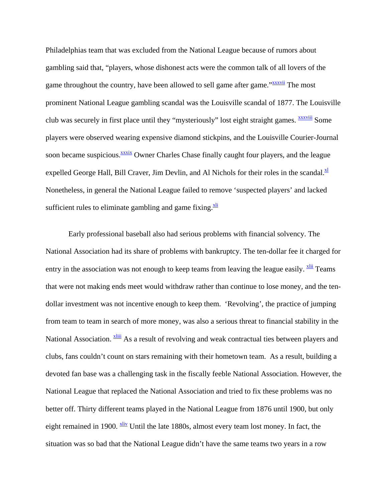Philadelphias team that was excluded from the National League because of rumors about gambling said that, "players, whose dishonest acts were the common talk of all lovers of the game throughout the country, have been allowed to sell game after game."<sup>xxxvii</sup> The most prominent National League gambling scandal was the Louisville scandal of 1877. The Louisville club was securely in first place until they "mysteriously" lost eight straight games. **XXXVIII** Some players were observed wearing expensive diamond stickpins, and the Louisville Courier-Journal soon became suspicious.<sup>xxxix</sup> Owner Charles Chase finally caught four players, and the league expelled George Hall, Bill Craver, Jim Devlin, and Al Nichols for their roles in the scandal. $\frac{x}{r}$ Nonetheless, in general the National League failed to remove 'suspected players' and lacked sufficient rules to eliminate gambling and game fixing. $\frac{X}{x}$ 

 Early professional baseball also had serious problems with financial solvency. The National Association had its share of problems with bankruptcy. The ten-dollar fee it charged for entry in the association was not enough to keep teams from leaving the league easily.  $\frac{X}{Y}$  Teams that were not making ends meet would withdraw rather than continue to lose money, and the tendollar investment was not incentive enough to keep them. 'Revolving', the practice of jumping from team to team in search of more money, was also a serious threat to financial stability in the National Association. Xoliii As a result of revolving and weak contractual ties between players and clubs, fans couldn't count on stars remaining with their hometown team. As a result, building a devoted fan base was a challenging task in the fiscally feeble National Association. However, the National League that replaced the National Association and tried to fix these problems was no better off. Thirty different teams played in the National League from 1876 until 1900, but only eight remained in 1900.  $\frac{x\text{div}}{y}$  Until the late 1880s, almost every team lost money. In fact, the situation was so bad that the National League didn't have the same teams two years in a row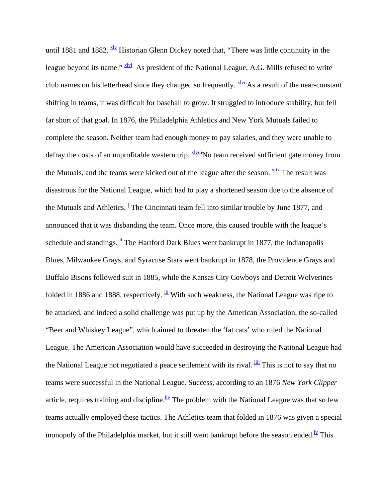until 1881 and 1882.  $\frac{xlv}{dx}$  Historian Glenn Dickey noted that, "There was little continuity in the league beyond its name."  $\frac{x \cdot \bar{x} \cdot \bar{y}}{x}$  As president of the National League, A.G. Mills refused to write club names on his letterhead since they changed so frequently.  $\frac{xIvii}{x}As$  a result of the near-constant shifting in teams, it was difficult for baseball to grow. It struggled to introduce stability, but fell far short of that goal. In 1876, the Philadelphia Athletics and New York Mutuals failed to complete the season. Neither team had enough money to pay salaries, and they were unable to defray the costs of an unprofitable western trip.  $\frac{xIviii}{xI}No$  team received sufficient gate money from the Mutuals, and the teams were kicked out of the league after the season.  $\frac{X}{X}$  The result was disastrous for the National League, which had to play a shortened season due to the absence of the Mutuals and Athletics. <sup>1</sup> The Cincinnati team fell into similar trouble by June 1877, and announced that it was disbanding the team. Once more, this caused trouble with the league's schedule and standings.  $\frac{1}{2}$  The Hartford Dark Blues went bankrupt in 1877, the Indianapolis Blues, Milwaukee Grays, and Syracuse Stars went bankrupt in 1878, the Providence Grays and Buffalo Bisons followed suit in 1885, while the Kansas City Cowboys and Detroit Wolverines folded in 1886 and 1888, respectively.  $\frac{iii}{11}$  With such weakness, the National League was ripe to be attacked, and indeed a solid challenge was put up by the American Association, the so-called "Beer and Whiskey League", which aimed to threaten the 'fat cats' who ruled the National League. The American Association would have succeeded in destroying the National League had the National League not negotiated a peace settlement with its rival. **III** This is not to say that no teams were successful in the National League. Success, according to an 1876 *New York Clipper*  article, requires training and discipline.  $\frac{div}{dx}$  The problem with the National League was that so few teams actually employed these tactics. The Athletics team that folded in 1876 was given a special monopoly of the Philadelphia market, but it still went bankrupt before the season ended.<sup>Iv</sup> This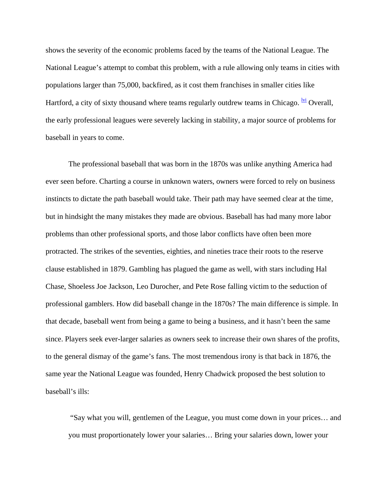shows the severity of the economic problems faced by the teams of the National League. The National League's attempt to combat this problem, with a rule allowing only teams in cities with populations larger than 75,000, backfired, as it cost them franchises in smaller cities like Hartford, a city of sixty thousand where teams regularly outdrew teams in Chicago.  $\frac{|\mathbf{v}|}{|\mathbf{v}|}$  Overall, the early professional leagues were severely lacking in stability, a major source of problems for baseball in years to come.

 The professional baseball that was born in the 1870s was unlike anything America had ever seen before. Charting a course in unknown waters, owners were forced to rely on business instincts to dictate the path baseball would take. Their path may have seemed clear at the time, but in hindsight the many mistakes they made are obvious. Baseball has had many more labor problems than other professional sports, and those labor conflicts have often been more protracted. The strikes of the seventies, eighties, and nineties trace their roots to the reserve clause established in 1879. Gambling has plagued the game as well, with stars including Hal Chase, Shoeless Joe Jackson, Leo Durocher, and Pete Rose falling victim to the seduction of professional gamblers. How did baseball change in the 1870s? The main difference is simple. In that decade, baseball went from being a game to being a business, and it hasn't been the same since. Players seek ever-larger salaries as owners seek to increase their own shares of the profits, to the general dismay of the game's fans. The most tremendous irony is that back in 1876, the same year the National League was founded, Henry Chadwick proposed the best solution to baseball's ills:

 "Say what you will, gentlemen of the League, you must come down in your prices… and you must proportionately lower your salaries… Bring your salaries down, lower your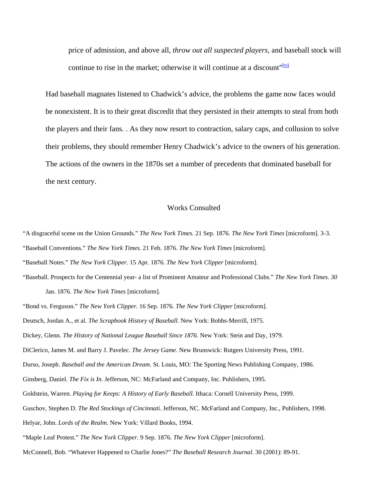price of admission, and above all, *throw out all suspected players*, and baseball stock will continue to rise in the market; otherwise it will continue at a discount" $v^{\frac{1}{1}}$ 

Had baseball magnates listened to Chadwick's advice, the problems the game now faces would be nonexistent. It is to their great discredit that they persisted in their attempts to steal from both the players and their fans. . As they now resort to contraction, salary caps, and collusion to solve their problems, they should remember Henry Chadwick's advice to the owners of his generation. The actions of the owners in the 1870s set a number of precedents that dominated baseball for the next century.

## Works Consulted

"A disgraceful scene on the Union Grounds." *The New York Times.* 21 Sep. 1876. *The New York Times* [microform]. 3-3. "Baseball Conventions." *The New York Times.* 21 Feb. 1876. *The New York Times* [microform]. "Baseball Notes." *The New York Clipper.* 15 Apr. 1876. *The New York Clipper* [microform].

"Baseball. Prospects for the Centennial year- a list of Prominent Amateur and Professional Clubs." *The New York Times. 30*  Jan. 1876. *The New York Times* [microform].

"Bond vs. Ferguson." *The New York Clipper.* 16 Sep. 1876. *The New York Clipper* [microform]. Deutsch, Jordan A., et al. *The Scrapbook History of Baseball.* New York: Bobbs-Merrill, 1975. Dickey, Glenn. *The History of National League Baseball Since 1876*. New York: Stein and Day, 1979. DiClerico, James M. and Barry J. Pavelec. *The Jersey Game.* New Brunswick: Rutgers University Press, 1991. Durso, Joseph. *Baseball and the American Dream.* St. Louis, MO: The Sporting News Publishing Company, 1986. Ginsberg, Daniel. *The Fix is In.* Jefferson, NC: McFarland and Company, Inc. Publishers, 1995. Goldstein, Warren. *Playing for Keeps: A History of Early Baseball.* Ithaca: Cornell University Press, 1999. Guschov, Stephen D. *The Red Stockings of Cincinnati.* Jefferson, NC. McFarland and Company, Inc., Publishers, 1998. Helyar, John. *Lords of the Realm.* New York: Villard Books, 1994. "Maple Leaf Protest." *The New York Clipper.* 9 Sep. 1876. *The New York Clipper* [microform]. McConnell, Bob. "Whatever Happened to Charlie Jones?" *The Baseball Research Journal.* 30 (2001): 89-91.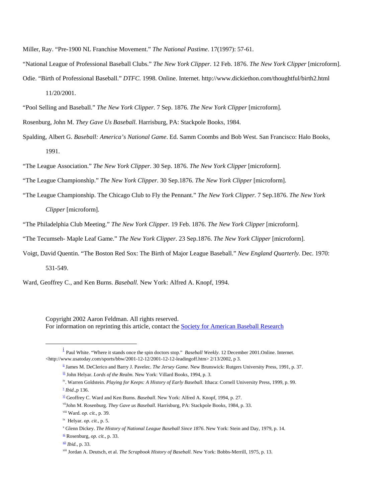Miller, Ray. "Pre-1900 NL Franchise Movement." *The National Pastime*. 17(1997): 57-61.

"National League of Professional Baseball Clubs." *The New York Clipper.* 12 Feb. 1876. *The New York Clipper* [microform].

Odie. "Birth of Professional Baseball." *DTFC.* 1998. Online. Internet. http://www.dickiethon.com/thoughtful/birth2.html 11/20/2001.

"Pool Selling and Baseball." *The New York Clipper.* 7 Sep. 1876. *The New York Clipper* [microform].

- Rosenburg, John M. *They Gave Us Baseball.* Harrisburg, PA: Stackpole Books, 1984.
- Spalding, Albert G. *Baseball: America's National Game*. Ed. Samm Coombs and Bob West. San Francisco: Halo Books, 1991.

"The League Association." *The New York Clipper.* 30 Sep. 1876. *The New York Clipper* [microform].

"The League Championship." *The New York Clipper.* 30 Sep.1876. *The New York Clipper* [microform].

"The League Championship. The Chicago Club to Fly the Pennant." *The New York Clipper.* 7 Sep.1876. *The New York* 

*Clipper* [microform].

"The Philadelphia Club Meeting." *The New York Clipper.* 19 Feb. 1876. *The New York Clipper* [microform].

"The Tecumseh- Maple Leaf Game." *The New York Clipper.* 23 Sep.1876. *The New York Clipper* [microform].

Voigt, David Quentin. "The Boston Red Sox: The Birth of Major League Baseball." *New England Quarterly.* Dec. 1970:

531-549.

Ward, Geoffrey C., and Ken Burns. *Baseball*. New York: Alfred A. Knopf, 1994.

Copyright 2002 Aaron Feldman. All rights reserved. For information on reprinting this article, contact the Society for American Baseball Research

 i <sup>1</sup> Paul White. "Where it stands once the spin doctors stop." *Baseball Weekly*. 12 December 2001.Online. Internet. <http://www.usatoday.com/sports/bbw/2001-12-12/2001-12-12-leadingoff.htm> 2/13/2002, p 3.

xii *Ibid.,* p. 33.

ii James M. DeClerico and Barry J. Pavelec. *The Jersey Game.* New Brunswick: Rutgers University Press, 1991, p. 37.

iii John Helyar. *Lords of the Realm*. New York: Villard Books, 1994, p. 3.

iv. Warren Goldstein. *Playing for Keeps: A History of Early Baseball.* Ithaca: Cornell University Press, 1999, p. 99. <sup>v</sup> *Ibid*.,p 136.

vi Geoffrey C. Ward and Ken Burns. *Baseball*. New York: Alfred A. Knopf, 1994, p. 27.

viiJohn M. Rosenburg. *They Gave us Baseball.* Harrisburg, PA: Stackpole Books, 1984, p. 33.

viii Ward. *op. cit.,* p. 39.

ix Helyar. *op. cit.*, p. 5.

x Glenn Dickey. *The History of National League Baseball Since 1876*. New York: Stein and Day, 1979, p. 14.

xi Rosenburg, *op. cit.,* p. 33.

xiii Jordan A. Deutsch, et al. *The Scrapbook History of Baseball.* New York: Bobbs-Merrill, 1975, p. 13.